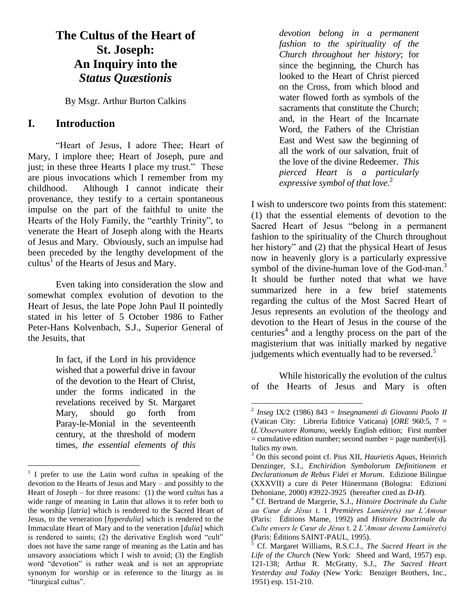# **The Cultus of the Heart of St. Joseph: An Inquiry into the**  *Status Quæstionis*

By Msgr. Arthur Burton Calkins

## **I. Introduction**

"Heart of Jesus, I adore Thee; Heart of Mary, I implore thee; Heart of Joseph, pure and just; in these three Hearts I place my trust." These are pious invocations which I remember from my childhood. Although I cannot indicate their provenance, they testify to a certain spontaneous impulse on the part of the faithful to unite the Hearts of the Holy Family, the "earthly Trinity", to venerate the Heart of Joseph along with the Hearts of Jesus and Mary. Obviously, such an impulse had been preceded by the lengthy development of the cultus<sup>1</sup> of the Hearts of Jesus and Mary.

Even taking into consideration the slow and somewhat complex evolution of devotion to the Heart of Jesus, the late Pope John Paul II pointedly stated in his letter of 5 October 1986 to Father Peter-Hans Kolvenbach, S.J., Superior General of the Jesuits, that

> In fact, if the Lord in his providence wished that a powerful drive in favour of the devotion to the Heart of Christ, under the forms indicated in the revelations received by St. Margaret Mary, should go forth from Paray-le-Monial in the seventeenth century, at the threshold of modern times, *the essential elements of this*

 $\overline{a}$ 

*devotion belong in a permanent fashion to the spirituality of the Church throughout her history*; for since the beginning, the Church has looked to the Heart of Christ pierced on the Cross, from which blood and water flowed forth as symbols of the sacraments that constitute the Church; and, in the Heart of the Incarnate Word, the Fathers of the Christian East and West saw the beginning of all the work of our salvation, fruit of the love of the divine Redeemer. *This pierced Heart is a particularly expressive symbol of that love*. 2

I wish to underscore two points from this statement: (1) that the essential elements of devotion to the Sacred Heart of Jesus "belong in a permanent fashion to the spirituality of the Church throughout her history" and (2) that the physical Heart of Jesus now in heavenly glory is a particularly expressive symbol of the divine-human love of the God-man.<sup>3</sup> It should be further noted that what we have summarized here in a few brief statements regarding the cultus of the Most Sacred Heart of Jesus represents an evolution of the theology and devotion to the Heart of Jesus in the course of the centuries<sup>4</sup> and a lengthy process on the part of the magisterium that was initially marked by negative judgements which eventually had to be reversed. $5$ 

While historically the evolution of the cultus of the Hearts of Jesus and Mary is often

<sup>1</sup> I prefer to use the Latin word *cultus* in speaking of the devotion to the Hearts of Jesus and Mary – and possibly to the Heart of Joseph – for three reasons: (1) the word *cultus* has a wide range of meaning in Latin that allows it to refer both to the worship [*latria*] which is rendered to the Sacred Heart of Jesus, to the veneration [*hyperdulia*] which is rendered to the Immaculate Heart of Mary and to the veneration [*dulia*] which is rendered to saints; (2) the derivative English word "cult" does not have the same range of meaning as the Latin and has unsavory associations which I wish to avoid; (3) the English word "devotion" is rather weak and is not an appropriate synonym for worship or in reference to the liturgy as in "liturgical cultus".

 2 *Inseg* IX/2 (1986) 843 = *Insegnamenti di Giovanni Paolo II* (Vatican City: Libreria Editrice Vaticana) [*ORE* 960:5, 7 = (*L'Osservatore Romano,* weekly English edition; First number  $=$  cumulative edition number; second number  $=$  page number(s)]. Italics my own.

<sup>3</sup> On this second point cf. Pius XII, *Haurietis Aquas,* Heinrich Denzinger, S.I., *Enchiridion Symbolorum Definitionem et Declarationum de Rebus Fidei et Morum*. Edizione Bilingue (XXXVII) a cure di Peter Hünermann (Bologna: Edizioni Dehoniane, 2000) #3922-3925 (hereafter cited as *D-H*).

<sup>4</sup> Cf. Bertrand de Margerie, S.J., *Histoire Doctrinale du Culte au Cœur de Jésus* t. 1 *Premières Lumière(s) sur L'Amour* (Paris: Éditions Mame, 1992) and *Histoire Doctrinale du Culte envers le Cœur de Jésus* t. 2 *L'Amour devenu Lumière(s)* (Paris: Éditions SAINT-PAUL, 1995).

<sup>5</sup> Cf. Margaret Williams, R.S.C.J., *The Sacred Heart in the Life of the Church* (New York: Sheed and Ward, 1957) esp. 121-138; Arthur R. McGratty, S.J., *The Sacred Heart Yesterday and Today* (New York: Benziger Brothers, Inc., 1951) esp. 151-210.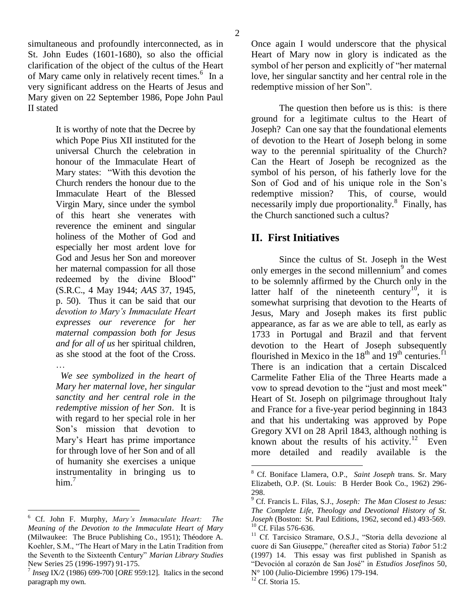simultaneous and profoundly interconnected, as in St. John Eudes (1601-1680), so also the official clarification of the object of the cultus of the Heart of Mary came only in relatively recent times.<sup>6</sup> In a very significant address on the Hearts of Jesus and Mary given on 22 September 1986, Pope John Paul II stated

> It is worthy of note that the Decree by which Pope Pius XII instituted for the universal Church the celebration in honour of the Immaculate Heart of Mary states: "With this devotion the Church renders the honour due to the Immaculate Heart of the Blessed Virgin Mary, since under the symbol of this heart she venerates with reverence the eminent and singular holiness of the Mother of God and especially her most ardent love for God and Jesus her Son and moreover her maternal compassion for all those redeemed by the divine Blood" (S.R.C., 4 May 1944; *AAS* 37, 1945, p. 50). Thus it can be said that our *devotion to Mary's Immaculate Heart expresses our reverence for her maternal compassion both for Jesus and for all of us* her spiritual children, as she stood at the foot of the Cross. …

 *We see symbolized in the heart of Mary her maternal love, her singular sanctity and her central role in the redemptive mission of her Son*. It is with regard to her special role in her Son's mission that devotion to Mary's Heart has prime importance for through love of her Son and of all of humanity she exercises a unique instrumentality in bringing us to him. $<sup>7</sup>$ </sup>

Once again I would underscore that the physical Heart of Mary now in glory is indicated as the symbol of her person and explicitly of "her maternal love, her singular sanctity and her central role in the redemptive mission of her Son".

The question then before us is this: is there ground for a legitimate cultus to the Heart of Joseph? Can one say that the foundational elements of devotion to the Heart of Joseph belong in some way to the perennial spirituality of the Church? Can the Heart of Joseph be recognized as the symbol of his person, of his fatherly love for the Son of God and of his unique role in the Son's redemptive mission? This, of course, would necessarily imply due proportionality.<sup>8</sup> Finally, has the Church sanctioned such a cultus?

# **II. First Initiatives**

Since the cultus of St. Joseph in the West only emerges in the second millennium $9$  and comes to be solemnly affirmed by the Church only in the latter half of the nineteenth century<sup>10</sup>, it is somewhat surprising that devotion to the Hearts of Jesus, Mary and Joseph makes its first public appearance, as far as we are able to tell, as early as 1733 in Portugal and Brazil and that fervent devotion to the Heart of Joseph subsequently flourished in Mexico in the  $18<sup>th</sup>$  and  $19<sup>th</sup>$  centuries.<sup>11</sup> There is an indication that a certain Discalced Carmelite Father Elia of the Three Hearts made a vow to spread devotion to the "just and most meek" Heart of St. Joseph on pilgrimage throughout Italy and France for a five-year period beginning in 1843 and that his undertaking was approved by Pope Gregory XVI on 28 April 1843, although nothing is known about the results of his activity.<sup>12</sup> Even more detailed and readily available is the

 $\overline{a}$ <sup>6</sup> Cf. John F. Murphy, *Mary's Immaculate Heart: The Meaning of the Devotion to the Immaculate Heart of Mary* (Milwaukee: The Bruce Publishing Co., 1951); Théodore A. Koehler, S.M., "The Heart of Mary in the Latin Tradition from the Seventh to the Sixteenth Century" *Marian Library Studies* New Series 25 (1996-1997) 91-175.

<sup>7</sup> *Inseg* IX/2 (1986) 699-700 [*ORE* 959:12]. Italics in the second paragraph my own.

<sup>8</sup> Cf. Boniface Llamera, O.P., *Saint Joseph* trans. Sr. Mary Elizabeth, O.P. (St. Louis: B Herder Book Co., 1962) 296- 298.

<sup>9</sup> Cf. Francis L. Filas, S.J., *Joseph: The Man Closest to Jesus: The Complete Life, Theology and Devotional History of St. Joseph* (Boston: St. Paul Editions, 1962, second ed.) 493-569. <sup>10</sup> Cf. Filas 576-636.

<sup>&</sup>lt;sup>11</sup> Cf. Tarcisico Stramare, O.S.J., "Storia della devozione al cuore di San Giuseppe," (hereafter cited as Storia) *Tabor* 51:2 (1997) 14. This essay was first published in Spanish as "Devoción al corazón de San José" in *Estudios Josefinos* 50, N° 100 (Julio-Diciembre 1996) 179-194.

 $12$  Cf. Storia 15.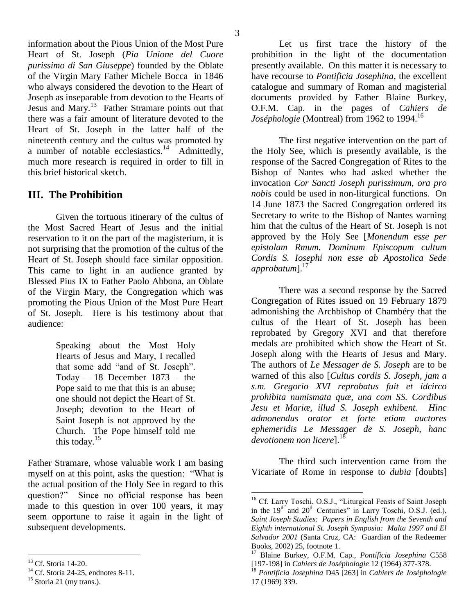information about the Pious Union of the Most Pure Heart of St. Joseph (*Pia Unione del Cuore purissimo di San Giuseppe*) founded by the Oblate of the Virgin Mary Father Michele Bocca in 1846 who always considered the devotion to the Heart of Joseph as inseparable from devotion to the Hearts of Jesus and Mary.<sup>13</sup> Father Stramare points out that there was a fair amount of literature devoted to the Heart of St. Joseph in the latter half of the nineteenth century and the cultus was promoted by a number of notable ecclesiastics.<sup>14</sup> Admittedly, much more research is required in order to fill in this brief historical sketch.

## **III. The Prohibition**

Given the tortuous itinerary of the cultus of the Most Sacred Heart of Jesus and the initial reservation to it on the part of the magisterium, it is not surprising that the promotion of the cultus of the Heart of St. Joseph should face similar opposition. This came to light in an audience granted by Blessed Pius IX to Father Paolo Abbona, an Oblate of the Virgin Mary, the Congregation which was promoting the Pious Union of the Most Pure Heart of St. Joseph. Here is his testimony about that audience:

> Speaking about the Most Holy Hearts of Jesus and Mary, I recalled that some add "and of St. Joseph". Today – 18 December 1873 – the Pope said to me that this is an abuse; one should not depict the Heart of St. Joseph; devotion to the Heart of Saint Joseph is not approved by the Church. The Pope himself told me this today. $15$

Father Stramare, whose valuable work I am basing myself on at this point, asks the question: "What is the actual position of the Holy See in regard to this question?" Since no official response has been made to this question in over 100 years, it may seem opportune to raise it again in the light of subsequent developments.

 $\overline{a}$ 

Let us first trace the history of the prohibition in the light of the documentation presently available. On this matter it is necessary to have recourse to *Pontificia Josephina*, the excellent catalogue and summary of Roman and magisterial documents provided by Father Blaine Burkey, O.F.M. Cap. in the pages of *Cahiers de Joséphologie* (Montreal) from 1962 to 1994.<sup>16</sup>

The first negative intervention on the part of the Holy See, which is presently available, is the response of the Sacred Congregation of Rites to the Bishop of Nantes who had asked whether the invocation *Cor Sancti Joseph purissimum, ora pro nobis* could be used in non-liturgical functions. On 14 June 1873 the Sacred Congregation ordered its Secretary to write to the Bishop of Nantes warning him that the cultus of the Heart of St. Joseph is not approved by the Holy See [*Monendum esse per epistolam Rmum. Dominum Episcopum cultum Cordis S. Iosephi non esse ab Apostolica Sede approbatum*].<sup>17</sup>

There was a second response by the Sacred Congregation of Rites issued on 19 February 1879 admonishing the Archbishop of Chambéry that the cultus of the Heart of St. Joseph has been reprobated by Gregory XVI and that therefore medals are prohibited which show the Heart of St. Joseph along with the Hearts of Jesus and Mary. The authors of *Le Messager de S. Joseph* are to be warned of this also [*Cultus cordis S. Joseph, jam a s.m. Gregorio XVI reprobatus fuit et idcirco prohibita numismata quæ, una com SS. Cordibus Jesu et Mariæ, illud S. Joseph exhibent. Hinc admonendus orator et forte etiam auctores ephemeridis Le Messager de S. Joseph, hanc*  devotionem non licere<sup>1.18</sup>

The third such intervention came from the Vicariate of Rome in response to *dubia* [doubts]

<sup>&</sup>lt;sup>13</sup> Cf. Storia 14-20.

 $14$  Cf. Storia 24-25, endnotes 8-11.

 $15$  Storia 21 (my trans.).

<sup>&</sup>lt;sup>16</sup> Cf. Larry Toschi, O.S.J., "Liturgical Feasts of Saint Joseph in the 19<sup>th</sup> and 20<sup>th</sup> Centuries" in Larry Toschi, O.S.J. (ed.), *Saint Joseph Studies: Papers in English from the Seventh and Eighth international St. Joseph Symposia: Malta 1997 and El Salvador 2001* (Santa Cruz, CA: Guardian of the Redeemer Books, 2002) 25, footnote 1.

<sup>17</sup> Blaine Burkey, O.F.M. Cap., *Pontificia Josephina* C558 [197-198] in *Cahiers de Joséphologie* 12 (1964) 377-378.

<sup>18</sup> *Pontificia Josephina* D45 [263] in *Cahiers de Joséphologie* 17 (1969) 339.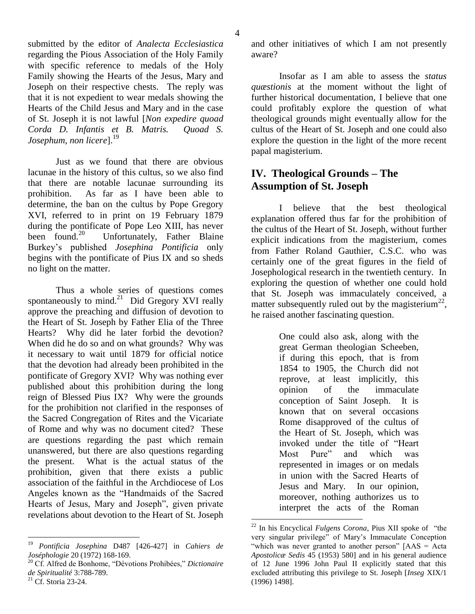submitted by the editor of *Analecta Ecclesiastica* regarding the Pious Association of the Holy Family with specific reference to medals of the Holy Family showing the Hearts of the Jesus, Mary and Joseph on their respective chests. The reply was that it is not expedient to wear medals showing the Hearts of the Child Jesus and Mary and in the case of St. Joseph it is not lawful [*Non expedire quoad Corda D. Infantis et B. Matris. Quoad S. Josephum, non licere*].<sup>19</sup>

Just as we found that there are obvious lacunae in the history of this cultus, so we also find that there are notable lacunae surrounding its prohibition. As far as I have been able to determine, the ban on the cultus by Pope Gregory XVI, referred to in print on 19 February 1879 during the pontificate of Pope Leo XIII, has never been found. $20$  Unfortunately, Father Blaine Burkey's published *Josephina Pontificia* only begins with the pontificate of Pius IX and so sheds no light on the matter.

Thus a whole series of questions comes spontaneously to mind. $^{21}$  Did Gregory XVI really approve the preaching and diffusion of devotion to the Heart of St. Joseph by Father Elia of the Three Hearts? Why did he later forbid the devotion? When did he do so and on what grounds? Why was it necessary to wait until 1879 for official notice that the devotion had already been prohibited in the pontificate of Gregory XVI? Why was nothing ever published about this prohibition during the long reign of Blessed Pius IX? Why were the grounds for the prohibition not clarified in the responses of the Sacred Congregation of Rites and the Vicariate of Rome and why was no document cited? These are questions regarding the past which remain unanswered, but there are also questions regarding the present. What is the actual status of the prohibition, given that there exists a public association of the faithful in the Archdiocese of Los Angeles known as the "Handmaids of the Sacred Hearts of Jesus, Mary and Joseph", given private revelations about devotion to the Heart of St. Joseph

and other initiatives of which I am not presently aware?

Insofar as I am able to assess the *status quæstionis* at the moment without the light of further historical documentation, I believe that one could profitably explore the question of what theological grounds might eventually allow for the cultus of the Heart of St. Joseph and one could also explore the question in the light of the more recent papal magisterium.

# **IV. Theological Grounds – The Assumption of St. Joseph**

I believe that the best theological explanation offered thus far for the prohibition of the cultus of the Heart of St. Joseph, without further explicit indications from the magisterium, comes from Father Roland Gauthier, C.S.C. who was certainly one of the great figures in the field of Josephological research in the twentieth century. In exploring the question of whether one could hold that St. Joseph was immaculately conceived, a matter subsequently ruled out by the magisterium<sup>22</sup>, he raised another fascinating question.

> One could also ask, along with the great German theologian Scheeben, if during this epoch, that is from 1854 to 1905, the Church did not reprove, at least implicitly, this opinion of the immaculate conception of Saint Joseph. It is known that on several occasions Rome disapproved of the cultus of the Heart of St. Joseph, which was invoked under the title of "Heart Most Pure" and which was represented in images or on medals in union with the Sacred Hearts of Jesus and Mary. In our opinion, moreover, nothing authorizes us to interpret the acts of the Roman

<sup>19</sup> <sup>19</sup> *Pontificia Josephina* D487 [426-427] in *Cahiers de Joséphologie* 20 (1972) 168-169.

<sup>20</sup> Cf. Alfred de Bonhome, "Dévotions Prohibées," *Dictionaire de Spiritualité* 3:788-789.

<sup>&</sup>lt;sup>21</sup> Cf. Storia 23-24.

<sup>22</sup> In his Encyclical *Fulgens Corona*, Pius XII spoke of "the very singular privilege" of Mary's Immaculate Conception "which was never granted to another person" [AAS = Acta *Apostolicæ Sedis* 45 (1953) 580] and in his general audience of 12 June 1996 John Paul II explicitly stated that this excluded attributing this privilege to St. Joseph [*Inseg* XIX/1 (1996) 1498].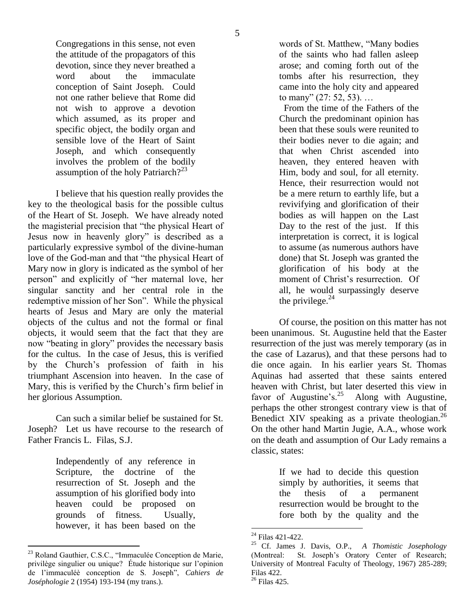Congregations in this sense, not even the attitude of the propagators of this devotion, since they never breathed a word about the immaculate conception of Saint Joseph. Could not one rather believe that Rome did not wish to approve a devotion which assumed, as its proper and specific object, the bodily organ and sensible love of the Heart of Saint Joseph, and which consequently involves the problem of the bodily assumption of the holy Patriarch? $2^{23}$ 

I believe that his question really provides the key to the theological basis for the possible cultus of the Heart of St. Joseph. We have already noted the magisterial precision that "the physical Heart of Jesus now in heavenly glory" is described as a particularly expressive symbol of the divine-human love of the God-man and that "the physical Heart of Mary now in glory is indicated as the symbol of her person" and explicitly of "her maternal love, her singular sanctity and her central role in the redemptive mission of her Son". While the physical hearts of Jesus and Mary are only the material objects of the cultus and not the formal or final objects, it would seem that the fact that they are now "beating in glory" provides the necessary basis for the cultus. In the case of Jesus, this is verified by the Church's profession of faith in his triumphant Ascension into heaven. In the case of Mary, this is verified by the Church's firm belief in her glorious Assumption.

Can such a similar belief be sustained for St. Joseph? Let us have recourse to the research of Father Francis L. Filas, S.J.

> Independently of any reference in Scripture, the doctrine of the resurrection of St. Joseph and the assumption of his glorified body into heaven could be proposed on grounds of fitness. Usually, however, it has been based on the

 $\overline{a}$ 

words of St. Matthew, "Many bodies of the saints who had fallen asleep arose; and coming forth out of the tombs after his resurrection, they came into the holy city and appeared to many" (27: 52, 53). …

 From the time of the Fathers of the Church the predominant opinion has been that these souls were reunited to their bodies never to die again; and that when Christ ascended into heaven, they entered heaven with Him, body and soul, for all eternity. Hence, their resurrection would not be a mere return to earthly life, but a revivifying and glorification of their bodies as will happen on the Last Day to the rest of the just. If this interpretation is correct, it is logical to assume (as numerous authors have done) that St. Joseph was granted the glorification of his body at the moment of Christ's resurrection. Of all, he would surpassingly deserve the privilege. $^{24}$ 

Of course, the position on this matter has not been unanimous. St. Augustine held that the Easter resurrection of the just was merely temporary (as in the case of Lazarus), and that these persons had to die once again. In his earlier years St. Thomas Aquinas had asserted that these saints entered heaven with Christ, but later deserted this view in favor of Augustine's.<sup>25</sup> Along with Augustine, perhaps the other strongest contrary view is that of Benedict XIV speaking as a private theologian.<sup>26</sup> On the other hand Martin Jugie, A.A., whose work on the death and assumption of Our Lady remains a classic, states:

> If we had to decide this question simply by authorities, it seems that the thesis of a permanent resurrection would be brought to the fore both by the quality and the

<sup>23</sup> Roland Gauthier, C.S.C., "Immaculée Conception de Marie, privilège singulier ou unique? Étude historique sur l'opinion de l'immaculéè conception de S. Joseph", *Cahiers de Joséphologie* 2 (1954) 193-194 (my trans.).

<sup>24</sup> Filas 421-422.

<sup>25</sup> Cf. James J. Davis, O.P., *A Thomistic Josephology* (Montreal: St. Joseph's Oratory Center of Research; University of Montreal Faculty of Theology, 1967) 285-289; Filas 422.

 $26$  Filas 425.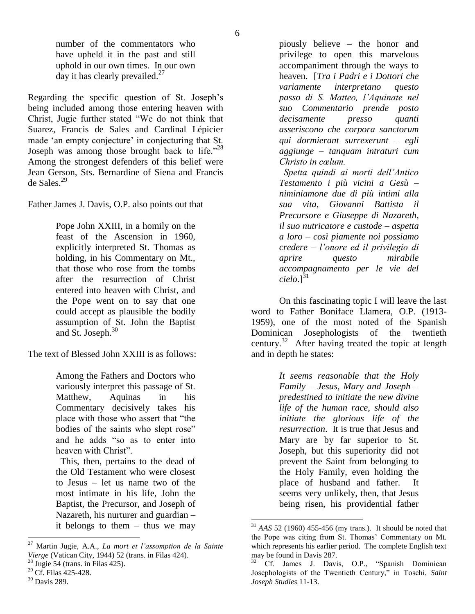number of the commentators who have upheld it in the past and still uphold in our own times. In our own day it has clearly prevailed.<sup>27</sup>

Regarding the specific question of St. Joseph's being included among those entering heaven with Christ, Jugie further stated "We do not think that Suarez, Francis de Sales and Cardinal Lépicier made 'an empty conjecture' in conjecturing that St. Joseph was among those brought back to life."<sup>28</sup> Among the strongest defenders of this belief were Jean Gerson, Sts. Bernardine of Siena and Francis de Sales.<sup>29</sup>

Father James J. Davis, O.P. also points out that

Pope John XXIII, in a homily on the feast of the Ascension in 1960, explicitly interpreted St. Thomas as holding, in his Commentary on Mt., that those who rose from the tombs after the resurrection of Christ entered into heaven with Christ, and the Pope went on to say that one could accept as plausible the bodily assumption of St. John the Baptist and St. Joseph.<sup>30</sup>

The text of Blessed John XXIII is as follows:

Among the Fathers and Doctors who variously interpret this passage of St. Matthew, Aquinas in his Commentary decisively takes his place with those who assert that "the bodies of the saints who slept rose" and he adds "so as to enter into heaven with Christ".

 This, then, pertains to the dead of the Old Testament who were closest to Jesus – let us name two of the most intimate in his life, John the Baptist, the Precursor, and Joseph of Nazareth, his nurturer and guardian – it belongs to them – thus we may

piously believe – the honor and privilege to open this marvelous accompaniment through the ways to heaven. [*Tra i Padri e i Dottori che variamente interpretano questo passo di S. Matteo, l'Aquinate nel suo Commentario prende posto decisamente presso quanti asseriscono che corpora sanctorum qui dormierant surrexerunt – egli aggiunge – tanquam intraturi cum Christo in cœlum.*

 *Spetta quindi ai morti dell'Antico Testamento i più vicini a Gesù – niminiamone due di più intimi alla sua vita, Giovanni Battista il Precursore e Giuseppe di Nazareth, il suo nutricatore e custode – aspetta a loro – così piamente noi possiamo credere – l'onore ed il privilegio di aprire questo mirabile accompagnamento per le vie del*   $cielo.$ <sup>31</sup>

On this fascinating topic I will leave the last word to Father Boniface Llamera, O.P. (1913- 1959), one of the most noted of the Spanish Dominican Josephologists of the twentieth century.<sup>32</sup> After having treated the topic at length and in depth he states:

> *It seems reasonable that the Holy Family – Jesus, Mary and Joseph – predestined to initiate the new divine life of the human race, should also initiate the glorious life of the resurrection*. It is true that Jesus and Mary are by far superior to St. Joseph, but this superiority did not prevent the Saint from belonging to the Holy Family, even holding the place of husband and father. It seems very unlikely, then, that Jesus being risen, his providential father

<sup>27</sup> <sup>27</sup> Martin Jugie, A.A., *La mort et l'assomption de la Sainte Vierge* (Vatican City, 1944) 52 (trans. in Filas 424).

Jugie 54 (trans. in Filas 425).

<sup>&</sup>lt;sup>29</sup> Cf. Filas 425-428.

 $30$  Davis 289.

<sup>31</sup> *AAS* 52 (1960) 455-456 (my trans.). It should be noted that the Pope was citing from St. Thomas' Commentary on Mt. which represents his earlier period. The complete English text may be found in Davis 287.

Cf. James J. Davis, O.P., "Spanish Dominican Josephologists of the Twentieth Century," in Toschi, *Saint Joseph Studies* 11-13.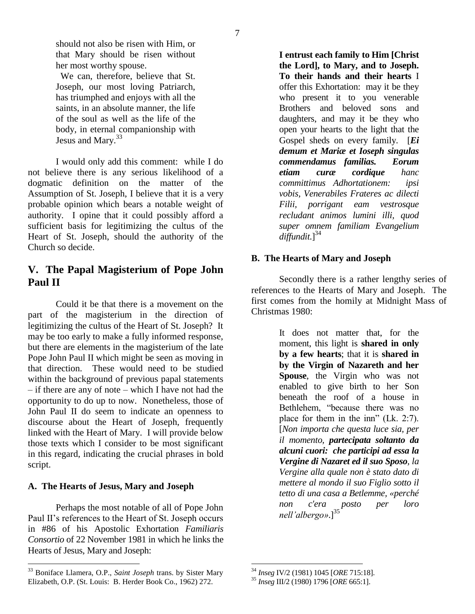should not also be risen with Him, or that Mary should be risen without her most worthy spouse.

 We can, therefore, believe that St. Joseph, our most loving Patriarch, has triumphed and enjoys with all the saints, in an absolute manner, the life of the soul as well as the life of the body, in eternal companionship with Jesus and Mary.<sup>33</sup>

I would only add this comment: while I do not believe there is any serious likelihood of a dogmatic definition on the matter of the Assumption of St. Joseph, I believe that it is a very probable opinion which bears a notable weight of authority. I opine that it could possibly afford a sufficient basis for legitimizing the cultus of the Heart of St. Joseph, should the authority of the Church so decide.

# **V. The Papal Magisterium of Pope John Paul II**

Could it be that there is a movement on the part of the magisterium in the direction of legitimizing the cultus of the Heart of St. Joseph? It may be too early to make a fully informed response, but there are elements in the magisterium of the late Pope John Paul II which might be seen as moving in that direction. These would need to be studied within the background of previous papal statements – if there are any of note – which I have not had the opportunity to do up to now. Nonetheless, those of John Paul II do seem to indicate an openness to discourse about the Heart of Joseph, frequently linked with the Heart of Mary. I will provide below those texts which I consider to be most significant in this regard, indicating the crucial phrases in bold script.

### **A. The Hearts of Jesus, Mary and Joseph**

 $\overline{a}$ 

Perhaps the most notable of all of Pope John Paul II's references to the Heart of St. Joseph occurs in #86 of his Apostolic Exhortation *Familiaris Consortio* of 22 November 1981 in which he links the Hearts of Jesus, Mary and Joseph:

**I entrust each family to Him [Christ the Lord], to Mary, and to Joseph. To their hands and their hearts** I offer this Exhortation: may it be they who present it to you venerable Brothers and beloved sons and daughters, and may it be they who open your hearts to the light that the Gospel sheds on every family. [*Ei demum et Mariæ et Ioseph singulas commendamus familias. Eorum etiam curæ cordique hanc committimus Adhortationem: ipsi vobis, Venerabiles Frateres ac dilecti Filii, porrigant eam vestrosque recludant animos lumini illi, quod super omnem familiam Evangelium*  diffundit.<sup>[34</sup>]

### **B. The Hearts of Mary and Joseph**

Secondly there is a rather lengthy series of references to the Hearts of Mary and Joseph. The first comes from the homily at Midnight Mass of Christmas 1980:

> It does not matter that, for the moment, this light is **shared in only by a few hearts**; that it is **shared in by the Virgin of Nazareth and her Spouse**, the Virgin who was not enabled to give birth to her Son beneath the roof of a house in Bethlehem, "because there was no place for them in the inn" (Lk. 2:7). [*Non importa che questa luce sia, per il momento, partecipata soltanto da alcuni cuori: che participi ad essa la Vergine di Nazaret ed il suo Sposo, la Vergine alla quale non è stato dato di mettere al mondo il suo Figlio sotto il tetto di una casa a Betlemme, «perché non c'era posto per loro nell'albergo»*.]<sup>35</sup>

<sup>33</sup> Boniface Llamera, O.P., *Saint Joseph* trans. by Sister Mary Elizabeth, O.P. (St. Louis: B. Herder Book Co., 1962) 272.

 $\overline{a}$ <sup>34</sup> *Inseg* IV/2 (1981) 1045 [*ORE* 715:18].

<sup>35</sup> *Inseg* III/2 (1980) 1796 [*ORE* 665:1].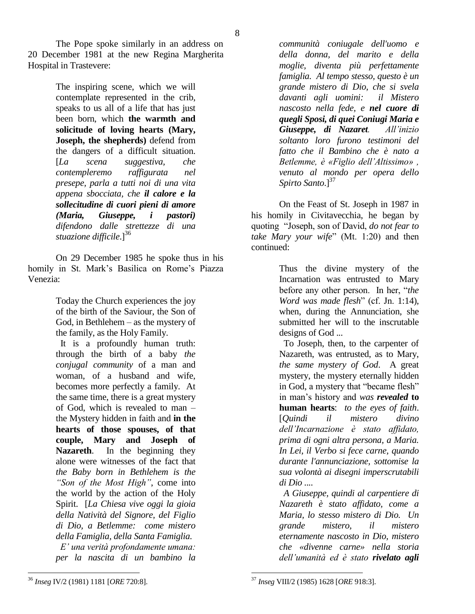The Pope spoke similarly in an address on 20 December 1981 at the new Regina Margherita Hospital in Trastevere:

> The inspiring scene, which we will contemplate represented in the crib, speaks to us all of a life that has just been born, which **the warmth and solicitude of loving hearts (Mary, Joseph, the shepherds)** defend from the dangers of a difficult situation. [*La scena suggestiva, che contempleremo raffigurata nel presepe, parla a tutti noi di una vita appena sbocciata, che il calore e la sollecitudine di cuori pieni di amore (Maria, Giuseppe, i pastori) difendono dalle strettezze di una stuazione difficile*.<sup>[36</sup>]

On 29 December 1985 he spoke thus in his homily in St. Mark's Basilica on Rome's Piazza Venezia:

> Today the Church experiences the joy of the birth of the Saviour, the Son of God, in Bethlehem – as the mystery of the family, as the Holy Family.

 It is a profoundly human truth: through the birth of a baby *the conjugal community* of a man and woman, of a husband and wife, becomes more perfectly a family. At the same time, there is a great mystery of God, which is revealed to man – the Mystery hidden in faith and **in the hearts of those spouses, of that couple, Mary and Joseph of Nazareth**. In the beginning they alone were witnesses of the fact that *the Baby born in Bethlehem is the "Son of the Most High"*, come into the world by the action of the Holy Spirit. [*La Chiesa vive oggi la gioia della Natività del Signore, del Figlio di Dio, a Betlemme: come mistero della Famiglia, della Santa Famiglia. E' una verità profondamente umana:* 

*per la nascita di un bambino la* 

*communità coniugale dell'uomo e della donna, del marito e della moglie, diventa più perfettamente famiglia. Al tempo stesso, questo è un grande mistero di Dio, che si svela davanti agli uomini: il Mistero nascosto nella fede, e nel cuore di quegli Sposi, di quei Coniugi Maria e Giuseppe, di Nazaret. All'inizio soltanto loro furono testimoni del fatto che il Bambino che è nato a Betlemme, è «Figlio dell'Altissimo» , venuto al mondo per opera dello Spirto Santo*.<sup>[37]</sup>

On the Feast of St. Joseph in 1987 in his homily in Civitavecchia, he began by quoting "Joseph, son of David, *do not fear to take Mary your wife*" (Mt. 1:20) and then continued:

> Thus the divine mystery of the Incarnation was entrusted to Mary before any other person. In her, "*the Word was made flesh*" (cf. Jn. 1:14), when, during the Annunciation, she submitted her will to the inscrutable designs of God ...

> To Joseph, then, to the carpenter of Nazareth, was entrusted, as to Mary, *the same mystery of God*. A great mystery, the mystery eternally hidden in God, a mystery that "became flesh" in man's history and *was revealed* **to human hearts**: *to the eyes of faith*. [*Quindi il mistero divino dell'Incarnazione è stato affidato, prima di ogni altra persona, a Maria. In Lei, il Verbo si fece carne, quando durante l'annunciazione, sottomise la sua volontà ai disegni imperscrutabili di Dio ....*

> *A Giuseppe, quindi al carpentiere di Nazareth è stato affidato, come a Maria, lo stesso mistero di Dio. Un grande mistero, il mistero eternamente nascosto in Dio, mistero che «divenne carne» nella storia dell'umanità ed è stato rivelato agli*

 $\overline{a}$ <sup>36</sup> *Inseg* IV/2 (1981) 1181 [*ORE* 720:8].

 $\overline{a}$ <sup>37</sup> *Inseg* VIII/2 (1985) 1628 [*ORE* 918:3].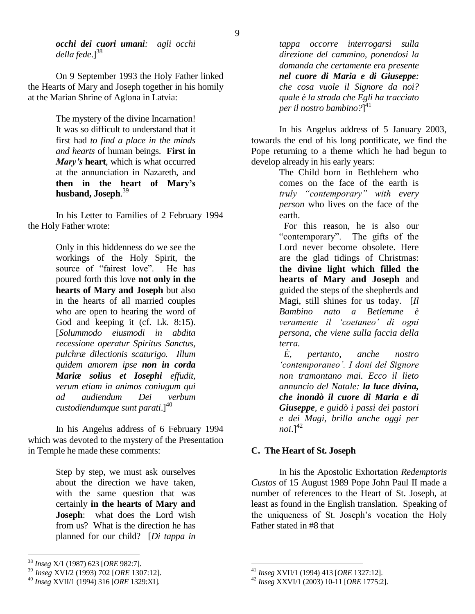*occhi dei cuori umani: agli occhi*  della fede.<sup>[38</sup>]

On 9 September 1993 the Holy Father linked the Hearts of Mary and Joseph together in his homily at the Marian Shrine of Aglona in Latvia:

> The mystery of the divine Incarnation! It was so difficult to understand that it first had *to find a place in the minds and hearts* of human beings. **First in**  *Mary's* **heart**, which is what occurred at the annunciation in Nazareth, and **then in the heart of Mary's husband, Joseph**. 39

In his Letter to Families of 2 February 1994 the Holy Father wrote:

> Only in this hiddenness do we see the workings of the Holy Spirit, the source of "fairest love". He has poured forth this love **not only in the hearts of Mary and Joseph** but also in the hearts of all married couples who are open to hearing the word of God and keeping it (cf. Lk. 8:15). [*Solummodo eiusmodi in abdita recessione operatur Spiritus Sanctus, pulchræ dilectionis scaturigo. Illum quidem amorem ipse non in corda Mariæ solius et Iosephi effudit, verum etiam in animos coniugum qui ad audiendum Dei verbum custodiendumque sunt parati.*]<sup>40</sup>

In his Angelus address of 6 February 1994 which was devoted to the mystery of the Presentation in Temple he made these comments:

> Step by step, we must ask ourselves about the direction we have taken, with the same question that was certainly **in the hearts of Mary and Joseph**: what does the Lord wish from us? What is the direction he has planned for our child? [*Di tappa in*

 $\overline{a}$ 

*tappa occorre interrogarsi sulla direzione del cammino, ponendosi la domanda che certamente era presente nel cuore di Maria e di Giuseppe: che cosa vuole il Signore da noi? quale è la strada che Egli ha tracciato per il nostro bambino?*] 41

In his Angelus address of 5 January 2003, towards the end of his long pontificate, we find the Pope returning to a theme which he had begun to develop already in his early years:

> The Child born in Bethlehem who comes on the face of the earth is *truly "contemporary" with every person* who lives on the face of the earth.

 For this reason, he is also our "contemporary". The gifts of the Lord never become obsolete. Here are the glad tidings of Christmas: **the divine light which filled the hearts of Mary and Joseph** and guided the steps of the shepherds and Magi, still shines for us today. [*Il Bambino nato a Betlemme è veramente il 'coetaneo' di ogni persona, che viene sulla faccia della terra.*

 *È, pertanto, anche nostro 'contemporaneo'. I doni del Signore non tramontano mai. Ecco il lieto annuncio del Natale: la luce divina, che inondò il cuore di Maria e di Giuseppe, e guidò i passi dei pastori e dei Magi, brilla anche oggi per*   $noi.]^{42}$ 

#### **C. The Heart of St. Joseph**

In his the Apostolic Exhortation *Redemptoris Custos* of 15 August 1989 Pope John Paul II made a number of references to the Heart of St. Joseph, at least as found in the English translation. Speaking of the uniqueness of St. Joseph's vocation the Holy Father stated in #8 that

<sup>38</sup> *Inseg* X/1 (1987) 623 [*ORE* 982:7].

<sup>39</sup> *Inseg* XVI/2 (1993) 702 [*ORE* 1307:12].

<sup>40</sup> *Inseg* XVII/1 (1994) 316 [*ORE* 1329:XI].

 $\overline{a}$ <sup>41</sup> *Inseg* XVII/1 (1994) 413 [*ORE* 1327:12].

<sup>42</sup> *Inseg* XXVI/1 (2003) 10-11 [*ORE* 1775:2].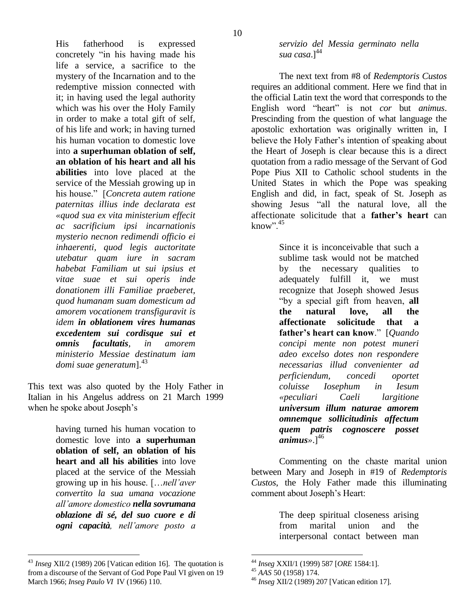His fatherhood is expressed concretely "in his having made his life a service, a sacrifice to the mystery of the Incarnation and to the redemptive mission connected with it; in having used the legal authority which was his over the Holy Family in order to make a total gift of self, of his life and work; in having turned his human vocation to domestic love into **a superhuman oblation of self, an oblation of his heart and all his abilities** into love placed at the service of the Messiah growing up in his house." [*Concreta autem ratione paternitas illius inde declarata est «quod sua ex vita ministerium effecit ac sacrificium ipsi incarnationis mysterio necnon redimendi officio ei inhaerenti, quod legis auctoritate utebatur quam iure in sacram habebat Familiam ut sui ipsius et vitae suae et sui operis inde donationem illi Familiae praeberet, quod humanam suam domesticum ad amorem vocationem transfiguravit is idem in oblationem vires humanas excedentem sui cordisque sui et omnis facultatis, in amorem ministerio Messiae destinatum iam*  domi suae generatum<sup>143</sup>

This text was also quoted by the Holy Father in Italian in his Angelus address on 21 March 1999 when he spoke about Joseph's

> having turned his human vocation to domestic love into **a superhuman oblation of self, an oblation of his heart and all his abilities** into love placed at the service of the Messiah growing up in his house. […*nell'aver convertito la sua umana vocazione all'amore domestico nella sovrumana oblazione di sé, del suo cuore e di ogni capacità, nell'amore posto a*

 $\overline{a}$ <sup>43</sup> *Inseg* XII/2 (1989) 206 [Vatican edition 16]. The quotation is from a discourse of the Servant of God Pope Paul VI given on 19 March 1966; *Inseg Paulo VI* IV (1966) 110.

*servizio del Messia germinato nella sua casa*.]<sup>44</sup>

The next text from #8 of *Redemptoris Custos* requires an additional comment. Here we find that in the official Latin text the word that corresponds to the English word "heart" is not *cor* but *animus*. Prescinding from the question of what language the apostolic exhortation was originally written in, I believe the Holy Father's intention of speaking about the Heart of Joseph is clear because this is a direct quotation from a radio message of the Servant of God Pope Pius XII to Catholic school students in the United States in which the Pope was speaking English and did, in fact, speak of St. Joseph as showing Jesus "all the natural love, all the affectionate solicitude that a **father's heart** can know". $45$ 

> Since it is inconceivable that such a sublime task would not be matched by the necessary qualities to adequately fulfill it, we must recognize that Joseph showed Jesus "by a special gift from heaven, **all the natural love, all the affectionate solicitude that a father's heart can know**." [*Quando concipi mente non potest muneri adeo excelso dotes non respondere necessarias illud convenienter ad perficiendum, concedi oportet coluisse Iosephum in Iesum «peculiari Caeli largitione universum illum naturae amorem omnemque sollicitudinis affectum quem patris cognoscere posset*   $animus*.\vert^{46}$

Commenting on the chaste marital union between Mary and Joseph in #19 of *Redemptoris Custos*, the Holy Father made this illuminating comment about Joseph's Heart:

> The deep spiritual closeness arising from marital union and the interpersonal contact between man

<sup>44</sup> *Inseg* XXII/1 (1999) 587 [*ORE* 1584:1].

<sup>45</sup> *AAS* 50 (1958) 174.

<sup>46</sup> *Inseg* XII/2 (1989) 207 [Vatican edition 17].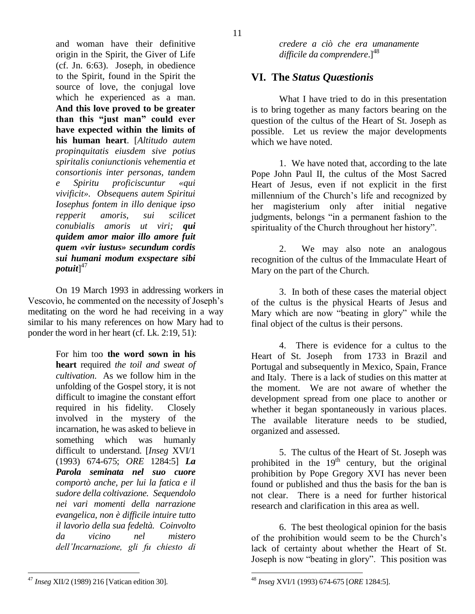and woman have their definitive origin in the Spirit, the Giver of Life (cf. Jn. 6:63). Joseph, in obedience to the Spirit, found in the Spirit the source of love, the conjugal love which he experienced as a man. **And this love proved to be greater than this "just man" could ever have expected within the limits of his human heart**. [*Altitudo autem propinquitatis eiusdem sive potius spiritalis coniunctionis vehementia et consortionis inter personas, tandem e Spiritu proficiscuntur «qui vivificit». Obsequens autem Spiritui Iosephus fontem in illo denique ipso repperit amoris, sui scilicet conubialis amoris ut viri; qui quidem amor maior illo amore fuit quem «vir iustus» secundum cordis sui humani modum exspectare sibi potuit*] 47

On 19 March 1993 in addressing workers in Vescovìo, he commented on the necessity of Joseph's meditating on the word he had receiving in a way similar to his many references on how Mary had to ponder the word in her heart (cf. Lk. 2:19, 51):

> For him too **the word sown in his heart** required *the toil and sweat of cultivation*. As we follow him in the unfolding of the Gospel story, it is not difficult to imagine the constant effort required in his fidelity. Closely involved in the mystery of the incarnation, he was asked to believe in something which was humanly difficult to understand. [*Inseg* XVI/1 (1993) 674-675; *ORE* 1284:5] *La Parola seminata nel suo cuore comportò anche, per lui la fatica e il sudore della coltivazione. Sequendolo nei vari momenti della narrazione evangelica, non è difficile intuire tutto il lavorìo della sua fedeltà. Coinvolto da vicino nel mistero dell'Incarnazione, gli fu chiesto di*

*credere a ciò che era umanamente*  difficile da comprendere.]<sup>48</sup>

## **VI. The** *Status Quæstionis*

What I have tried to do in this presentation is to bring together as many factors bearing on the question of the cultus of the Heart of St. Joseph as possible. Let us review the major developments which we have noted.

1. We have noted that, according to the late Pope John Paul II, the cultus of the Most Sacred Heart of Jesus, even if not explicit in the first millennium of the Church's life and recognized by her magisterium only after initial negative judgments, belongs "in a permanent fashion to the spirituality of the Church throughout her history".

2. We may also note an analogous recognition of the cultus of the Immaculate Heart of Mary on the part of the Church.

3. In both of these cases the material object of the cultus is the physical Hearts of Jesus and Mary which are now "beating in glory" while the final object of the cultus is their persons.

4. There is evidence for a cultus to the Heart of St. Joseph from 1733 in Brazil and Portugal and subsequently in Mexico, Spain, France and Italy. There is a lack of studies on this matter at the moment. We are not aware of whether the development spread from one place to another or whether it began spontaneously in various places. The available literature needs to be studied, organized and assessed.

5. The cultus of the Heart of St. Joseph was prohibited in the  $19<sup>th</sup>$  century, but the original prohibition by Pope Gregory XVI has never been found or published and thus the basis for the ban is not clear. There is a need for further historical research and clarification in this area as well.

6. The best theological opinion for the basis of the prohibition would seem to be the Church's lack of certainty about whether the Heart of St. Joseph is now "beating in glory". This position was

<sup>47</sup> *Inseg* XII/2 (1989) 216 [Vatican edition 30].

 $\overline{a}$ <sup>48</sup> *Inseg* XVI/1 (1993) 674-675 [*ORE* 1284:5].